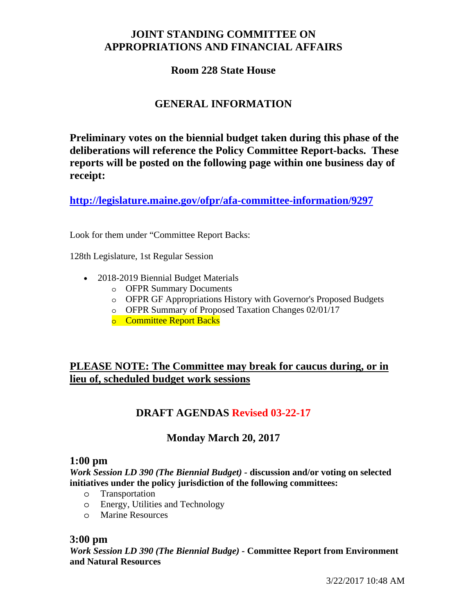# **JOINT STANDING COMMITTEE ON APPROPRIATIONS AND FINANCIAL AFFAIRS**

## **Room 228 State House**

# **GENERAL INFORMATION**

**Preliminary votes on the biennial budget taken during this phase of the deliberations will reference the Policy Committee Report-backs. These reports will be posted on the following page within one business day of receipt:** 

**http://legislature.maine.gov/ofpr/afa-committee-information/9297**

Look for them under "Committee Report Backs:

128th Legislature, 1st Regular Session

- 2018-2019 Biennial Budget Materials
	- o OFPR Summary Documents
	- o OFPR GF Appropriations History with Governor's Proposed Budgets
	- o OFPR Summary of Proposed Taxation Changes 02/01/17
	- o Committee Report Backs

# **PLEASE NOTE: The Committee may break for caucus during, or in lieu of, scheduled budget work sessions**

# **DRAFT AGENDAS Revised 03-22-17**

### **Monday March 20, 2017**

### **1:00 pm**

*Work Session LD 390 (The Biennial Budget) -* **discussion and/or voting on selected initiatives under the policy jurisdiction of the following committees:** 

- o Transportation
- o Energy, Utilities and Technology
- o Marine Resources

### **3:00 pm**

*Work Session LD 390 (The Biennial Budge) -* **Committee Report from Environment and Natural Resources**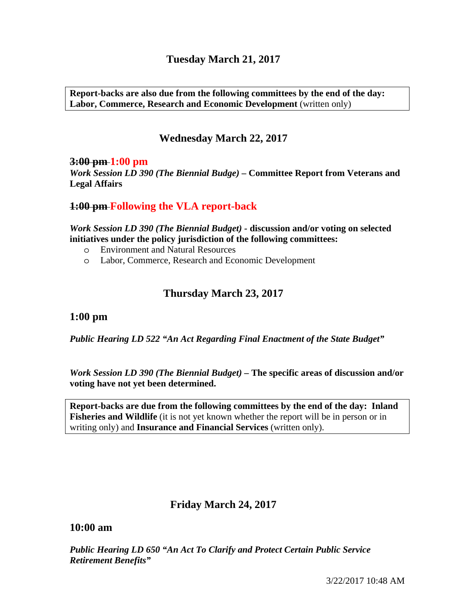# **Tuesday March 21, 2017**

**Report-backs are also due from the following committees by the end of the day: Labor, Commerce, Research and Economic Development** (written only)

## **Wednesday March 22, 2017**

#### **3:00 pm 1:00 pm**

*Work Session LD 390 (The Biennial Budge) –* **Committee Report from Veterans and Legal Affairs** 

### **1:00 pm Following the VLA report-back**

*Work Session LD 390 (The Biennial Budget) -* **discussion and/or voting on selected initiatives under the policy jurisdiction of the following committees:** 

- o Environment and Natural Resources
- o Labor, Commerce, Research and Economic Development

## **Thursday March 23, 2017**

### **1:00 pm**

*Public Hearing LD 522 "An Act Regarding Final Enactment of the State Budget"*

*Work Session LD 390 (The Biennial Budget) –* **The specific areas of discussion and/or voting have not yet been determined.** 

**Report-backs are due from the following committees by the end of the day: Inland Fisheries and Wildlife** (it is not yet known whether the report will be in person or in writing only) and **Insurance and Financial Services** (written only).

### **Friday March 24, 2017**

#### **10:00 am**

*Public Hearing LD 650 "An Act To Clarify and Protect Certain Public Service Retirement Benefits"*